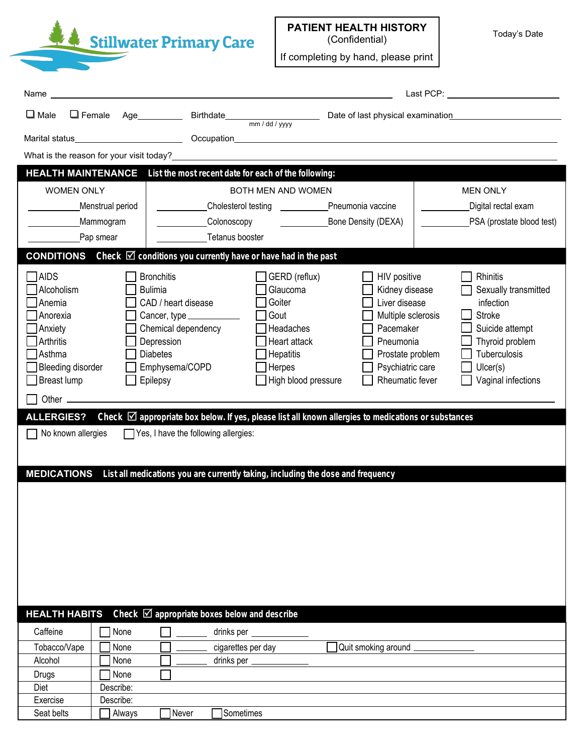Stillwater Primary Care

**PATIENT HEALTH HISTORY**  (Confidential)

If completing by hand, please print

Today's Date

|                                                                                                                                                                                                                                                                                                                       |                   |                                                                                                                                                                                                                                                                                                                                                                                                                                      |                                                                                                                                                    |  |                                                                                                                                                            |  | Last PCP: the contract of the contract of the contract of the contract of the contract of the contract of the contract of the contract of the contract of the contract of the contract of the contract of the contract of the |  |  |  |  |
|-----------------------------------------------------------------------------------------------------------------------------------------------------------------------------------------------------------------------------------------------------------------------------------------------------------------------|-------------------|--------------------------------------------------------------------------------------------------------------------------------------------------------------------------------------------------------------------------------------------------------------------------------------------------------------------------------------------------------------------------------------------------------------------------------------|----------------------------------------------------------------------------------------------------------------------------------------------------|--|------------------------------------------------------------------------------------------------------------------------------------------------------------|--|-------------------------------------------------------------------------------------------------------------------------------------------------------------------------------------------------------------------------------|--|--|--|--|
| $\Box$ Male                                                                                                                                                                                                                                                                                                           |                   |                                                                                                                                                                                                                                                                                                                                                                                                                                      |                                                                                                                                                    |  |                                                                                                                                                            |  | Date of last physical examination <b>contains the set of last physical examination</b>                                                                                                                                        |  |  |  |  |
|                                                                                                                                                                                                                                                                                                                       |                   |                                                                                                                                                                                                                                                                                                                                                                                                                                      |                                                                                                                                                    |  |                                                                                                                                                            |  |                                                                                                                                                                                                                               |  |  |  |  |
|                                                                                                                                                                                                                                                                                                                       |                   |                                                                                                                                                                                                                                                                                                                                                                                                                                      |                                                                                                                                                    |  |                                                                                                                                                            |  |                                                                                                                                                                                                                               |  |  |  |  |
| What is the reason for your visit today?<br>The same state of the state of the state of the state of the state of the state of the state of the state of the state of the state of the state of the state of the state of the st<br><b>HEALTH MAINTENANCE</b><br>List the most recent date for each of the following: |                   |                                                                                                                                                                                                                                                                                                                                                                                                                                      |                                                                                                                                                    |  |                                                                                                                                                            |  |                                                                                                                                                                                                                               |  |  |  |  |
|                                                                                                                                                                                                                                                                                                                       |                   |                                                                                                                                                                                                                                                                                                                                                                                                                                      | BOTH MEN AND WOMEN                                                                                                                                 |  |                                                                                                                                                            |  | <b>MEN ONLY</b>                                                                                                                                                                                                               |  |  |  |  |
| <b>WOMEN ONLY</b><br>Menstrual period                                                                                                                                                                                                                                                                                 |                   |                                                                                                                                                                                                                                                                                                                                                                                                                                      |                                                                                                                                                    |  |                                                                                                                                                            |  | Digital rectal exam                                                                                                                                                                                                           |  |  |  |  |
| Mammogram                                                                                                                                                                                                                                                                                                             |                   |                                                                                                                                                                                                                                                                                                                                                                                                                                      | Colonoscopy                                                                                                                                        |  | <b>Example 15 Bone Density (DEXA)</b>                                                                                                                      |  | PSA (prostate blood test)                                                                                                                                                                                                     |  |  |  |  |
| Pap smear                                                                                                                                                                                                                                                                                                             |                   | Tetanus booster                                                                                                                                                                                                                                                                                                                                                                                                                      |                                                                                                                                                    |  |                                                                                                                                                            |  |                                                                                                                                                                                                                               |  |  |  |  |
| <b>CONDITIONS</b> Check $\boxtimes$ conditions you currently have or have had in the past                                                                                                                                                                                                                             |                   |                                                                                                                                                                                                                                                                                                                                                                                                                                      |                                                                                                                                                    |  |                                                                                                                                                            |  |                                                                                                                                                                                                                               |  |  |  |  |
| AIDS<br>Alcoholism<br>Anemia<br>Anorexia<br>Anxiety<br>Arthritis<br>Asthma<br><b>Bleeding disorder</b><br>Breast lump<br>No known allergies<br><b>MEDICATIONS</b>                                                                                                                                                     |                   | <b>Bronchitis</b><br><b>Bulimia</b><br>CAD / heart disease<br>Cancer, type ____________<br>Chemical dependency<br>Depression<br><b>Diabetes</b><br>Emphysema/COPD<br>Epilepsy<br>ALLERGIES? Check $\boxtimes$ appropriate box below. If yes, please list all known allergies to medications or substances<br>Yes, I have the following allergies:<br>List all medications you are currently taking, including the dose and frequency | $\Box$ GERD (reflux)<br>Glaucoma<br>Goiter<br>Gout<br>Headaches<br>$\Box$ Heart attack<br>$\Box$ Hepatitis<br>Herpes<br>$\Box$ High blood pressure |  | HIV positive<br>Kidney disease<br>Liver disease<br>Multiple sclerosis<br>Pacemaker<br>Pneumonia<br>Prostate problem<br>Psychiatric care<br>Rheumatic fever |  | Rhinitis<br>Sexually transmitted<br>infection<br><b>Stroke</b><br>Suicide attempt<br>Thyroid problem<br>Tuberculosis<br>Uicer(s)<br>Vaginal infections                                                                        |  |  |  |  |
| <b>HEALTH HABITS</b><br>Caffeine<br>Tobacco/Vape                                                                                                                                                                                                                                                                      | None<br>None      | Check $\boxtimes$ appropriate boxes below and describe                                                                                                                                                                                                                                                                                                                                                                               | drinks per __<br>cigarettes per day                                                                                                                |  | Quit smoking around                                                                                                                                        |  |                                                                                                                                                                                                                               |  |  |  |  |
| Alcohol                                                                                                                                                                                                                                                                                                               | None              |                                                                                                                                                                                                                                                                                                                                                                                                                                      | drinks per __                                                                                                                                      |  |                                                                                                                                                            |  |                                                                                                                                                                                                                               |  |  |  |  |
| Drugs<br>Diet                                                                                                                                                                                                                                                                                                         | None<br>Describe: |                                                                                                                                                                                                                                                                                                                                                                                                                                      |                                                                                                                                                    |  |                                                                                                                                                            |  |                                                                                                                                                                                                                               |  |  |  |  |
| Exercise                                                                                                                                                                                                                                                                                                              | Describe:         |                                                                                                                                                                                                                                                                                                                                                                                                                                      |                                                                                                                                                    |  |                                                                                                                                                            |  |                                                                                                                                                                                                                               |  |  |  |  |
| Seat belts                                                                                                                                                                                                                                                                                                            | Always            | Never                                                                                                                                                                                                                                                                                                                                                                                                                                | Sometimes                                                                                                                                          |  |                                                                                                                                                            |  |                                                                                                                                                                                                                               |  |  |  |  |